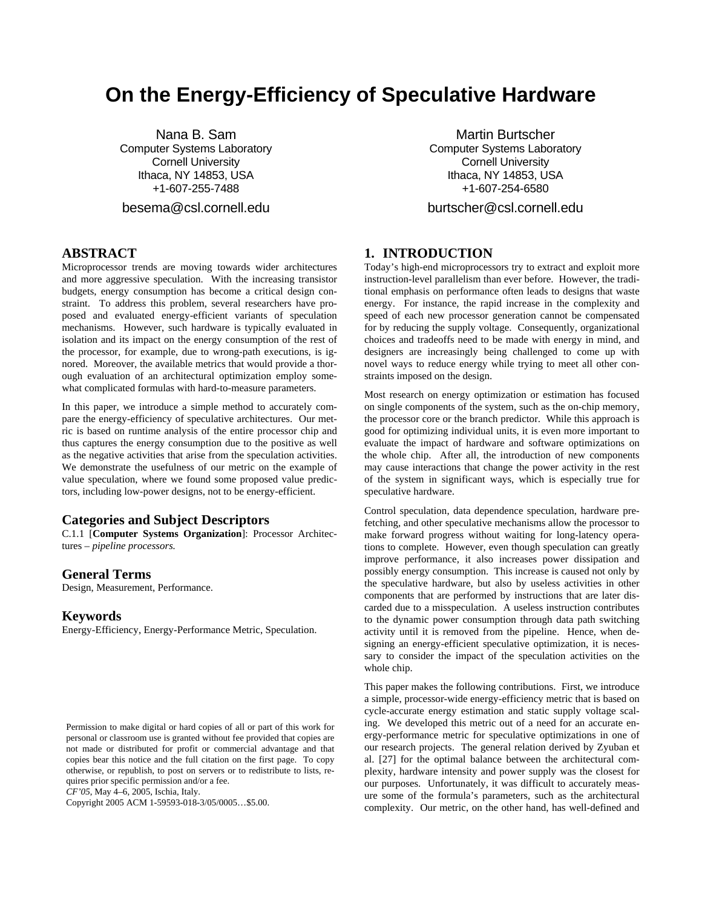# **On the Energy-Efficiency of Speculative Hardware**

Nana B. Sam Computer Systems Laboratory Cornell University Ithaca, NY 14853, USA +1-607-255-7488

besema@csl.cornell.edu

# **ABSTRACT**

Microprocessor trends are moving towards wider architectures and more aggressive speculation. With the increasing transistor budgets, energy consumption has become a critical design constraint. To address this problem, several researchers have proposed and evaluated energy-efficient variants of speculation mechanisms. However, such hardware is typically evaluated in isolation and its impact on the energy consumption of the rest of the processor, for example, due to wrong-path executions, is ignored. Moreover, the available metrics that would provide a thorough evaluation of an architectural optimization employ somewhat complicated formulas with hard-to-measure parameters.

In this paper, we introduce a simple method to accurately compare the energy-efficiency of speculative architectures. Our metric is based on runtime analysis of the entire processor chip and thus captures the energy consumption due to the positive as well as the negative activities that arise from the speculation activities. We demonstrate the usefulness of our metric on the example of value speculation, where we found some proposed value predictors, including low-power designs, not to be energy-efficient.

#### **Categories and Subject Descriptors**

C.1.1 [**Computer Systems Organization**]: Processor Architectures – *pipeline processors.* 

#### **General Terms**

Design, Measurement, Performance.

#### **Keywords**

Energy-Efficiency, Energy-Performance Metric, Speculation.

*CF'05*, May 4–6, 2005, Ischia, Italy.

Copyright 2005 ACM 1-59593-018-3/05/0005…\$5.00.

Martin Burtscher Computer Systems Laboratory Cornell University Ithaca, NY 14853, USA +1-607-254-6580

burtscher@csl.cornell.edu

# **1. INTRODUCTION**

Today's high-end microprocessors try to extract and exploit more instruction-level parallelism than ever before. However, the traditional emphasis on performance often leads to designs that waste energy. For instance, the rapid increase in the complexity and speed of each new processor generation cannot be compensated for by reducing the supply voltage. Consequently, organizational choices and tradeoffs need to be made with energy in mind, and designers are increasingly being challenged to come up with novel ways to reduce energy while trying to meet all other constraints imposed on the design.

Most research on energy optimization or estimation has focused on single components of the system, such as the on-chip memory, the processor core or the branch predictor. While this approach is good for optimizing individual units, it is even more important to evaluate the impact of hardware and software optimizations on the whole chip. After all, the introduction of new components may cause interactions that change the power activity in the rest of the system in significant ways, which is especially true for speculative hardware.

Control speculation, data dependence speculation, hardware prefetching, and other speculative mechanisms allow the processor to make forward progress without waiting for long-latency operations to complete. However, even though speculation can greatly improve performance, it also increases power dissipation and possibly energy consumption. This increase is caused not only by the speculative hardware, but also by useless activities in other components that are performed by instructions that are later discarded due to a misspeculation. A useless instruction contributes to the dynamic power consumption through data path switching activity until it is removed from the pipeline. Hence, when designing an energy-efficient speculative optimization, it is necessary to consider the impact of the speculation activities on the whole chip.

This paper makes the following contributions. First, we introduce a simple, processor-wide energy-efficiency metric that is based on cycle-accurate energy estimation and static supply voltage scaling. We developed this metric out of a need for an accurate energy-performance metric for speculative optimizations in one of our research projects. The general relation derived by Zyuban et al. [27] for the optimal balance between the architectural complexity, hardware intensity and power supply was the closest for our purposes. Unfortunately, it was difficult to accurately measure some of the formula's parameters, such as the architectural complexity. Our metric, on the other hand, has well-defined and

Permission to make digital or hard copies of all or part of this work for personal or classroom use is granted without fee provided that copies are not made or distributed for profit or commercial advantage and that copies bear this notice and the full citation on the first page. To copy otherwise, or republish, to post on servers or to redistribute to lists, requires prior specific permission and/or a fee.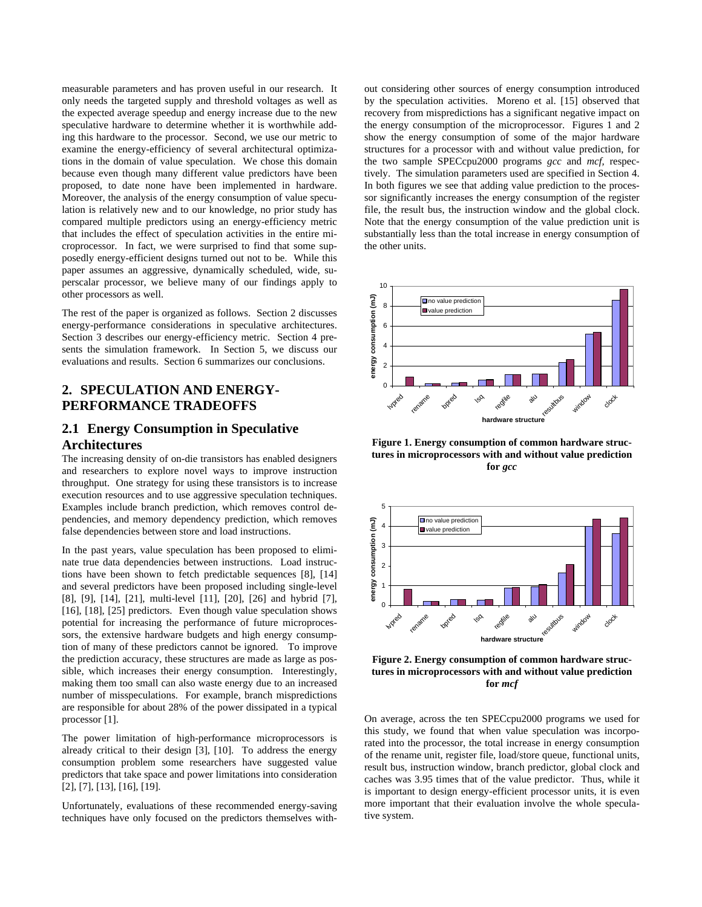measurable parameters and has proven useful in our research. It only needs the targeted supply and threshold voltages as well as the expected average speedup and energy increase due to the new speculative hardware to determine whether it is worthwhile adding this hardware to the processor. Second, we use our metric to examine the energy-efficiency of several architectural optimizations in the domain of value speculation. We chose this domain because even though many different value predictors have been proposed, to date none have been implemented in hardware. Moreover, the analysis of the energy consumption of value speculation is relatively new and to our knowledge, no prior study has compared multiple predictors using an energy-efficiency metric that includes the effect of speculation activities in the entire microprocessor. In fact, we were surprised to find that some supposedly energy-efficient designs turned out not to be. While this paper assumes an aggressive, dynamically scheduled, wide, superscalar processor, we believe many of our findings apply to other processors as well.

The rest of the paper is organized as follows. Section 2 discusses energy-performance considerations in speculative architectures. Section 3 describes our energy-efficiency metric. Section 4 presents the simulation framework. In Section 5, we discuss our evaluations and results. Section 6 summarizes our conclusions.

# **2. SPECULATION AND ENERGY-PERFORMANCE TRADEOFFS**

## **2.1 Energy Consumption in Speculative Architectures**

The increasing density of on-die transistors has enabled designers and researchers to explore novel ways to improve instruction throughput. One strategy for using these transistors is to increase execution resources and to use aggressive speculation techniques. Examples include branch prediction, which removes control dependencies, and memory dependency prediction, which removes false dependencies between store and load instructions.

In the past years, value speculation has been proposed to eliminate true data dependencies between instructions. Load instructions have been shown to fetch predictable sequences [8], [14] and several predictors have been proposed including single-level [8], [9], [14], [21], multi-level [11], [20], [26] and hybrid [7], [16], [18], [25] predictors. Even though value speculation shows potential for increasing the performance of future microprocessors, the extensive hardware budgets and high energy consumption of many of these predictors cannot be ignored. To improve the prediction accuracy, these structures are made as large as possible, which increases their energy consumption. Interestingly, making them too small can also waste energy due to an increased number of misspeculations. For example, branch mispredictions are responsible for about 28% of the power dissipated in a typical processor [1].

The power limitation of high-performance microprocessors is already critical to their design [3], [10]. To address the energy consumption problem some researchers have suggested value predictors that take space and power limitations into consideration [2], [7], [13], [16], [19].

Unfortunately, evaluations of these recommended energy-saving techniques have only focused on the predictors themselves with-

out considering other sources of energy consumption introduced by the speculation activities. Moreno et al. [15] observed that recovery from mispredictions has a significant negative impact on the energy consumption of the microprocessor. Figures 1 and 2 show the energy consumption of some of the major hardware structures for a processor with and without value prediction, for the two sample SPECcpu2000 programs *gcc* and *mcf,* respectively. The simulation parameters used are specified in Section 4. In both figures we see that adding value prediction to the processor significantly increases the energy consumption of the register file, the result bus, the instruction window and the global clock. Note that the energy consumption of the value prediction unit is substantially less than the total increase in energy consumption of the other units.



**Figure 1. Energy consumption of common hardware structures in microprocessors with and without value prediction for** *gcc*



**Figure 2. Energy consumption of common hardware structures in microprocessors with and without value prediction for** *mcf*

On average, across the ten SPECcpu2000 programs we used for this study, we found that when value speculation was incorporated into the processor, the total increase in energy consumption of the rename unit, register file, load/store queue, functional units, result bus, instruction window, branch predictor, global clock and caches was 3.95 times that of the value predictor. Thus, while it is important to design energy-efficient processor units, it is even more important that their evaluation involve the whole speculative system.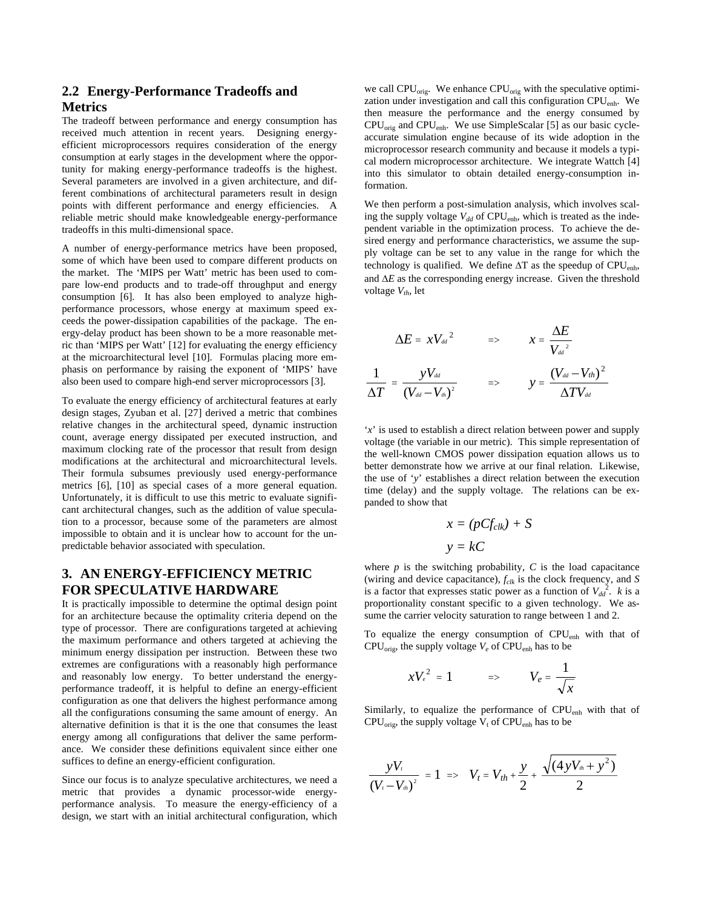# **2.2 Energy-Performance Tradeoffs and Metrics**

The tradeoff between performance and energy consumption has received much attention in recent years. Designing energyefficient microprocessors requires consideration of the energy consumption at early stages in the development where the opportunity for making energy-performance tradeoffs is the highest. Several parameters are involved in a given architecture, and different combinations of architectural parameters result in design points with different performance and energy efficiencies. A reliable metric should make knowledgeable energy-performance tradeoffs in this multi-dimensional space.

A number of energy-performance metrics have been proposed, some of which have been used to compare different products on the market. The 'MIPS per Watt' metric has been used to compare low-end products and to trade-off throughput and energy consumption [6]. It has also been employed to analyze highperformance processors, whose energy at maximum speed exceeds the power-dissipation capabilities of the package. The energy-delay product has been shown to be a more reasonable metric than 'MIPS per Watt' [12] for evaluating the energy efficiency at the microarchitectural level [10]. Formulas placing more emphasis on performance by raising the exponent of 'MIPS' have also been used to compare high-end server microprocessors [3].

To evaluate the energy efficiency of architectural features at early design stages, Zyuban et al. [27] derived a metric that combines relative changes in the architectural speed, dynamic instruction count, average energy dissipated per executed instruction, and maximum clocking rate of the processor that result from design modifications at the architectural and microarchitectural levels. Their formula subsumes previously used energy-performance metrics [6], [10] as special cases of a more general equation. Unfortunately, it is difficult to use this metric to evaluate significant architectural changes, such as the addition of value speculation to a processor, because some of the parameters are almost impossible to obtain and it is unclear how to account for the unpredictable behavior associated with speculation.

# **3. AN ENERGY-EFFICIENCY METRIC FOR SPECULATIVE HARDWARE**

It is practically impossible to determine the optimal design point for an architecture because the optimality criteria depend on the type of processor. There are configurations targeted at achieving the maximum performance and others targeted at achieving the minimum energy dissipation per instruction. Between these two extremes are configurations with a reasonably high performance and reasonably low energy. To better understand the energyperformance tradeoff, it is helpful to define an energy-efficient configuration as one that delivers the highest performance among all the configurations consuming the same amount of energy. An alternative definition is that it is the one that consumes the least energy among all configurations that deliver the same performance. We consider these definitions equivalent since either one suffices to define an energy-efficient configuration.

Since our focus is to analyze speculative architectures, we need a metric that provides a dynamic processor-wide energyperformance analysis. To measure the energy-efficiency of a design, we start with an initial architectural configuration, which

we call  $CPU_{orig}$ . We enhance  $CPU_{orig}$  with the speculative optimization under investigation and call this configuration CPUenh. We then measure the performance and the energy consumed by CPUorig and CPUenh. We use SimpleScalar [5] as our basic cycleaccurate simulation engine because of its wide adoption in the microprocessor research community and because it models a typical modern microprocessor architecture. We integrate Wattch [4] into this simulator to obtain detailed energy-consumption information.

We then perform a post-simulation analysis, which involves scaling the supply voltage  $V_{dd}$  of CPU<sub>enh</sub>, which is treated as the independent variable in the optimization process. To achieve the desired energy and performance characteristics, we assume the supply voltage can be set to any value in the range for which the technology is qualified. We define ∆T as the speedup of CPU<sub>enh</sub>, and ∆*E* as the corresponding energy increase. Given the threshold voltage  $V_{th}$ , let

$$
\begin{array}{ccc} \Delta E = & x V_{\scriptscriptstyle dd}^2 & \qquad \Longrightarrow & x = \frac{\Delta E}{V_{\scriptscriptstyle dd}^2} \\ \\ \frac{1}{\Delta T} = \frac{y V_{\scriptscriptstyle dd}}{(V_{\scriptscriptstyle dd} - V_{\scriptscriptstyle th})^2} & \qquad \Longrightarrow & y = \frac{(V_{\scriptscriptstyle dd} - V_{\scriptscriptstyle th})^2}{\Delta T V_{\scriptscriptstyle dd}} \end{array}
$$

'*x*' is used to establish a direct relation between power and supply voltage (the variable in our metric). This simple representation of the well-known CMOS power dissipation equation allows us to better demonstrate how we arrive at our final relation. Likewise, the use of '*y*' establishes a direct relation between the execution time (delay) and the supply voltage. The relations can be expanded to show that

$$
x = (pCf_{clk}) + S
$$

$$
y = kC
$$

where  $p$  is the switching probability,  $C$  is the load capacitance (wiring and device capacitance), *fclk* is the clock frequency, and *S* is a factor that expresses static power as a function of  $V_{dd}^2$ . *k* is a proportionality constant specific to a given technology. We assume the carrier velocity saturation to range between 1 and 2.

To equalize the energy consumption of  $CPU_{enh}$  with that of CPU<sub>orig</sub>, the supply voltage  $V_e$  of CPU<sub>enh</sub> has to be

$$
xV_e^2 = 1 \qquad \Rightarrow \qquad V_e = \frac{1}{\sqrt{x}}
$$

Similarly, to equalize the performance of CPU<sub>enh</sub> with that of  $CPU_{orig}$ , the supply voltage  $V_t$  of  $CPU_{enh}$  has to be

$$
\frac{yV_t}{(V_t-V_{th})^2}=1 \implies V_t=V_{th}+\frac{y}{2}+\frac{\sqrt{(4yV_{th}+y^2)}}{2}
$$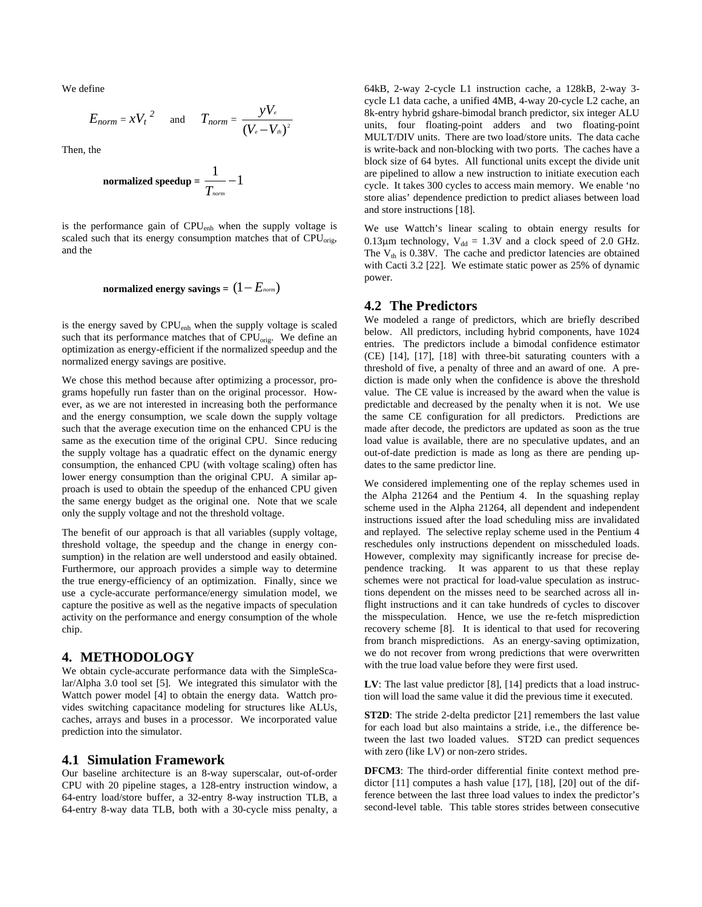We define

$$
E_{norm} = x{V_t}^2 \quad \text{and} \quad T_{norm} = \frac{yV_e}{(V_e - V_m)^2}
$$

Then, the

$$
\text{normalized speedup} = \frac{1}{T_{\textit{norm}}} - 1
$$

is the performance gain of CPU<sub>enh</sub> when the supply voltage is scaled such that its energy consumption matches that of CPU<sub>orig</sub>, and the

# **normalized energy savings =** (1− *Enorm*)

is the energy saved by CPU<sub>enh</sub> when the supply voltage is scaled such that its performance matches that of  $CPU_{\text{orie}}$ . We define an optimization as energy-efficient if the normalized speedup and the normalized energy savings are positive.

We chose this method because after optimizing a processor, programs hopefully run faster than on the original processor. However, as we are not interested in increasing both the performance and the energy consumption, we scale down the supply voltage such that the average execution time on the enhanced CPU is the same as the execution time of the original CPU. Since reducing the supply voltage has a quadratic effect on the dynamic energy consumption, the enhanced CPU (with voltage scaling) often has lower energy consumption than the original CPU. A similar approach is used to obtain the speedup of the enhanced CPU given the same energy budget as the original one. Note that we scale only the supply voltage and not the threshold voltage.

The benefit of our approach is that all variables (supply voltage, threshold voltage, the speedup and the change in energy consumption) in the relation are well understood and easily obtained. Furthermore, our approach provides a simple way to determine the true energy-efficiency of an optimization. Finally, since we use a cycle-accurate performance/energy simulation model, we capture the positive as well as the negative impacts of speculation activity on the performance and energy consumption of the whole chip.

#### **4. METHODOLOGY**

We obtain cycle-accurate performance data with the SimpleScalar/Alpha 3.0 tool set [5]. We integrated this simulator with the Wattch power model [4] to obtain the energy data. Wattch provides switching capacitance modeling for structures like ALUs, caches, arrays and buses in a processor. We incorporated value prediction into the simulator.

#### **4.1 Simulation Framework**

Our baseline architecture is an 8-way superscalar, out-of-order CPU with 20 pipeline stages, a 128-entry instruction window, a 64-entry load/store buffer, a 32-entry 8-way instruction TLB, a 64-entry 8-way data TLB, both with a 30-cycle miss penalty, a 64kB, 2-way 2-cycle L1 instruction cache, a 128kB, 2-way 3 cycle L1 data cache, a unified 4MB, 4-way 20-cycle L2 cache, an 8k-entry hybrid gshare-bimodal branch predictor, six integer ALU units, four floating-point adders and two floating-point MULT/DIV units. There are two load/store units. The data cache is write-back and non-blocking with two ports. The caches have a block size of 64 bytes. All functional units except the divide unit are pipelined to allow a new instruction to initiate execution each cycle. It takes 300 cycles to access main memory. We enable 'no store alias' dependence prediction to predict aliases between load and store instructions [18].

We use Wattch's linear scaling to obtain energy results for 0.13 $\mu$ m technology, V<sub>dd</sub> = 1.3V and a clock speed of 2.0 GHz. The  $V_{th}$  is 0.38V. The cache and predictor latencies are obtained with Cacti 3.2 [22]. We estimate static power as 25% of dynamic power.

#### **4.2 The Predictors**

We modeled a range of predictors, which are briefly described below. All predictors, including hybrid components, have 1024 entries. The predictors include a bimodal confidence estimator (CE) [14], [17], [18] with three-bit saturating counters with a threshold of five, a penalty of three and an award of one. A prediction is made only when the confidence is above the threshold value. The CE value is increased by the award when the value is predictable and decreased by the penalty when it is not. We use the same CE configuration for all predictors. Predictions are made after decode, the predictors are updated as soon as the true load value is available, there are no speculative updates, and an out-of-date prediction is made as long as there are pending updates to the same predictor line.

We considered implementing one of the replay schemes used in the Alpha 21264 and the Pentium 4. In the squashing replay scheme used in the Alpha 21264, all dependent and independent instructions issued after the load scheduling miss are invalidated and replayed. The selective replay scheme used in the Pentium 4 reschedules only instructions dependent on misscheduled loads. However, complexity may significantly increase for precise dependence tracking. It was apparent to us that these replay schemes were not practical for load-value speculation as instructions dependent on the misses need to be searched across all inflight instructions and it can take hundreds of cycles to discover the misspeculation. Hence, we use the re-fetch misprediction recovery scheme [8]. It is identical to that used for recovering from branch mispredictions. As an energy-saving optimization, we do not recover from wrong predictions that were overwritten with the true load value before they were first used.

**LV**: The last value predictor [8], [14] predicts that a load instruction will load the same value it did the previous time it executed.

**ST2D**: The stride 2-delta predictor [21] remembers the last value for each load but also maintains a stride, i.e., the difference between the last two loaded values. ST2D can predict sequences with zero (like LV) or non-zero strides.

**DFCM3**: The third-order differential finite context method predictor [11] computes a hash value [17], [18], [20] out of the difference between the last three load values to index the predictor's second-level table. This table stores strides between consecutive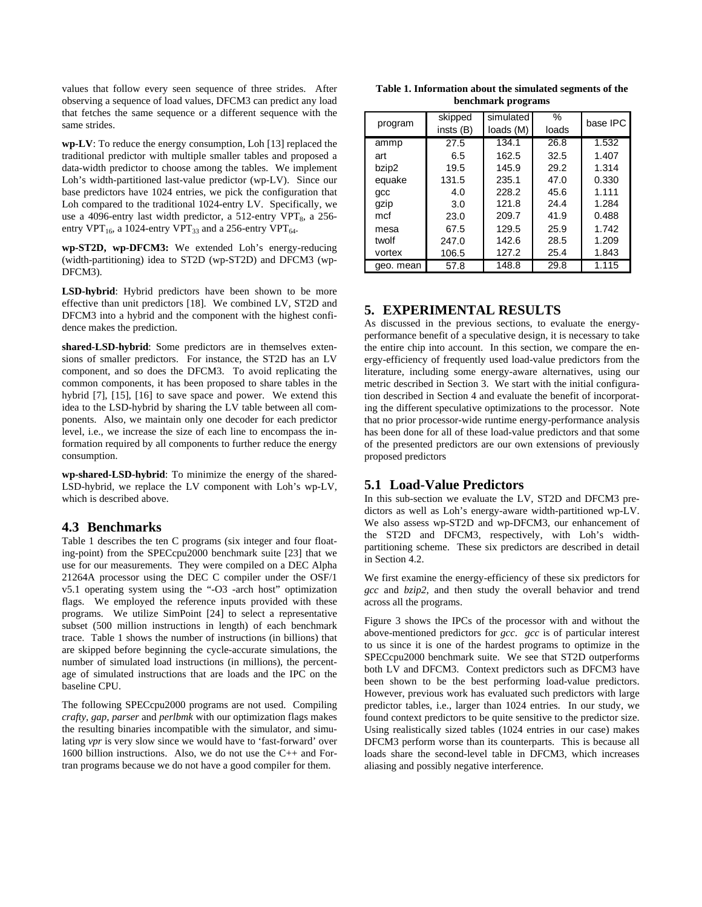values that follow every seen sequence of three strides. After observing a sequence of load values, DFCM3 can predict any load that fetches the same sequence or a different sequence with the same strides.

**wp-LV**: To reduce the energy consumption, Loh [13] replaced the traditional predictor with multiple smaller tables and proposed a data-width predictor to choose among the tables. We implement Loh's width-partitioned last-value predictor (wp-LV). Since our base predictors have 1024 entries, we pick the configuration that Loh compared to the traditional 1024-entry LV. Specifically, we use a 4096-entry last width predictor, a 512-entry VPT $_8$ , a 256entry VPT<sub>16</sub>, a 1024-entry VPT<sub>33</sub> and a 256-entry VPT<sub>64</sub>.

**wp-ST2D, wp-DFCM3:** We extended Loh's energy-reducing (width-partitioning) idea to ST2D (wp-ST2D) and DFCM3 (wp-DFCM3).

**LSD-hybrid**: Hybrid predictors have been shown to be more effective than unit predictors [18]. We combined LV, ST2D and DFCM3 into a hybrid and the component with the highest confidence makes the prediction.

**shared-LSD-hybrid**: Some predictors are in themselves extensions of smaller predictors. For instance, the ST2D has an LV component, and so does the DFCM3. To avoid replicating the common components, it has been proposed to share tables in the hybrid [7], [15], [16] to save space and power. We extend this idea to the LSD-hybrid by sharing the LV table between all components. Also, we maintain only one decoder for each predictor level, i.e., we increase the size of each line to encompass the information required by all components to further reduce the energy consumption.

**wp-shared-LSD-hybrid**: To minimize the energy of the shared-LSD-hybrid, we replace the LV component with Loh's wp-LV, which is described above.

#### **4.3 Benchmarks**

Table 1 describes the ten C programs (six integer and four floating-point) from the SPECcpu2000 benchmark suite [23] that we use for our measurements. They were compiled on a DEC Alpha 21264A processor using the DEC C compiler under the OSF/1 v5.1 operating system using the "-O3 -arch host" optimization flags. We employed the reference inputs provided with these programs. We utilize SimPoint [24] to select a representative subset (500 million instructions in length) of each benchmark trace. Table 1 shows the number of instructions (in billions) that are skipped before beginning the cycle-accurate simulations, the number of simulated load instructions (in millions), the percentage of simulated instructions that are loads and the IPC on the baseline CPU.

The following SPECcpu2000 programs are not used. Compiling *crafty, gap, parser* and *perlbmk* with our optimization flags makes the resulting binaries incompatible with the simulator, and simulating *vpr* is very slow since we would have to 'fast-forward' over 1600 billion instructions. Also, we do not use the C++ and Fortran programs because we do not have a good compiler for them.

**Table 1. Information about the simulated segments of the benchmark programs** 

|           | skipped  | simulated | $\%$  | base IPC |
|-----------|----------|-----------|-------|----------|
| program   | insts(B) | loads (M) | loads |          |
| ammp      | 27.5     | 134.1     | 26.8  | 1.532    |
| art       | 6.5      | 162.5     | 32.5  | 1.407    |
| bzip2     | 19.5     | 145.9     | 29.2  | 1.314    |
| equake    | 131.5    | 235.1     | 47.0  | 0.330    |
| qcc       | 4.0      | 228.2     | 45.6  | 1.111    |
| gzip      | 3.0      | 121.8     | 24.4  | 1.284    |
| mcf       | 23.0     | 209.7     | 41.9  | 0.488    |
| mesa      | 67.5     | 129.5     | 25.9  | 1.742    |
| twolf     | 247.0    | 142.6     | 28.5  | 1.209    |
| vortex    | 106.5    | 127.2     | 25.4  | 1.843    |
| geo. mean | 57.8     | 148.8     | 29.8  | 1.115    |

# **5. EXPERIMENTAL RESULTS**

As discussed in the previous sections, to evaluate the energyperformance benefit of a speculative design, it is necessary to take the entire chip into account. In this section, we compare the energy-efficiency of frequently used load-value predictors from the literature, including some energy-aware alternatives, using our metric described in Section 3. We start with the initial configuration described in Section 4 and evaluate the benefit of incorporating the different speculative optimizations to the processor. Note that no prior processor-wide runtime energy-performance analysis has been done for all of these load-value predictors and that some of the presented predictors are our own extensions of previously proposed predictors

# **5.1 Load-Value Predictors**

In this sub-section we evaluate the LV, ST2D and DFCM3 predictors as well as Loh's energy-aware width-partitioned wp-LV. We also assess wp-ST2D and wp-DFCM3, our enhancement of the ST2D and DFCM3, respectively, with Loh's widthpartitioning scheme. These six predictors are described in detail in Section 4.2.

We first examine the energy-efficiency of these six predictors for *gcc* and *bzip2*, and then study the overall behavior and trend across all the programs.

Figure 3 shows the IPCs of the processor with and without the above-mentioned predictors for *gcc*. *gcc* is of particular interest to us since it is one of the hardest programs to optimize in the SPECcpu2000 benchmark suite. We see that ST2D outperforms both LV and DFCM3. Context predictors such as DFCM3 have been shown to be the best performing load-value predictors. However, previous work has evaluated such predictors with large predictor tables, i.e., larger than 1024 entries. In our study, we found context predictors to be quite sensitive to the predictor size. Using realistically sized tables (1024 entries in our case) makes DFCM3 perform worse than its counterparts. This is because all loads share the second-level table in DFCM3, which increases aliasing and possibly negative interference.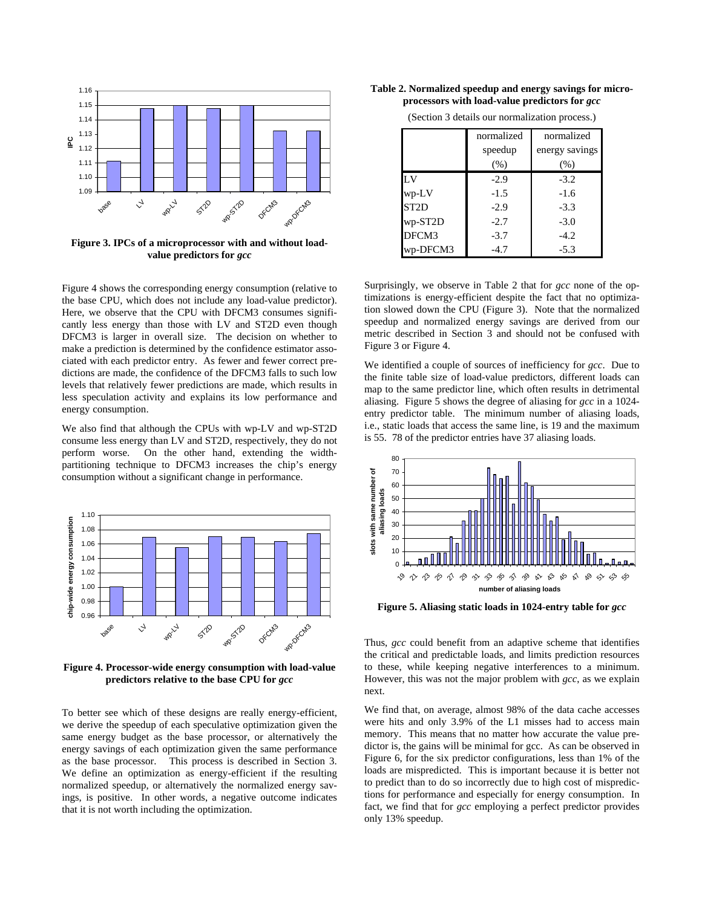

**Figure 3. IPCs of a microprocessor with and without loadvalue predictors for** *gcc*

Figure 4 shows the corresponding energy consumption (relative to the base CPU, which does not include any load-value predictor). Here, we observe that the CPU with DFCM3 consumes significantly less energy than those with LV and ST2D even though DFCM3 is larger in overall size. The decision on whether to make a prediction is determined by the confidence estimator associated with each predictor entry. As fewer and fewer correct predictions are made, the confidence of the DFCM3 falls to such low levels that relatively fewer predictions are made, which results in less speculation activity and explains its low performance and energy consumption.

We also find that although the CPUs with wp-LV and wp-ST2D consume less energy than LV and ST2D, respectively, they do not perform worse. On the other hand, extending the widthpartitioning technique to DFCM3 increases the chip's energy consumption without a significant change in performance.



**Figure 4. Processor-wide energy consumption with load-value predictors relative to the base CPU for** *gcc*

To better see which of these designs are really energy-efficient, we derive the speedup of each speculative optimization given the same energy budget as the base processor, or alternatively the energy savings of each optimization given the same performance as the base processor. This process is described in Section 3. We define an optimization as energy-efficient if the resulting normalized speedup, or alternatively the normalized energy savings, is positive. In other words, a negative outcome indicates that it is not worth including the optimization.

**Table 2. Normalized speedup and energy savings for microprocessors with load-value predictors for** *gcc*

|                   | normalized | normalized     |
|-------------------|------------|----------------|
|                   | speedup    | energy savings |
|                   | (% )       | (% )           |
| LV                | $-2.9$     | $-3.2$         |
| $wp-LV$           | $-1.5$     | $-1.6$         |
| ST <sub>2</sub> D | $-2.9$     | $-3.3$         |
| wp-ST2D           | $-2.7$     | $-3.0$         |
| DFCM3             | $-3.7$     | $-4.2$         |
| wp-DFCM3          | $-4.7$     | $-5.3$         |

(Section 3 details our normalization process.)

Surprisingly, we observe in Table 2 that for *gcc* none of the optimizations is energy-efficient despite the fact that no optimization slowed down the CPU (Figure 3). Note that the normalized speedup and normalized energy savings are derived from our metric described in Section 3 and should not be confused with Figure 3 or Figure 4.

We identified a couple of sources of inefficiency for *gcc*. Due to the finite table size of load-value predictors, different loads can map to the same predictor line, which often results in detrimental aliasing. Figure 5 shows the degree of aliasing for *gcc* in a 1024 entry predictor table. The minimum number of aliasing loads, i.e., static loads that access the same line, is 19 and the maximum is 55. 78 of the predictor entries have 37 aliasing loads.



**Figure 5. Aliasing static loads in 1024-entry table for** *gcc*

Thus, *gcc* could benefit from an adaptive scheme that identifies the critical and predictable loads, and limits prediction resources to these, while keeping negative interferences to a minimum. However, this was not the major problem with *gcc*, as we explain next.

We find that, on average, almost 98% of the data cache accesses were hits and only 3.9% of the L1 misses had to access main memory. This means that no matter how accurate the value predictor is, the gains will be minimal for gcc. As can be observed in Figure 6, for the six predictor configurations, less than 1% of the loads are mispredicted. This is important because it is better not to predict than to do so incorrectly due to high cost of mispredictions for performance and especially for energy consumption. In fact, we find that for *gcc* employing a perfect predictor provides only 13% speedup.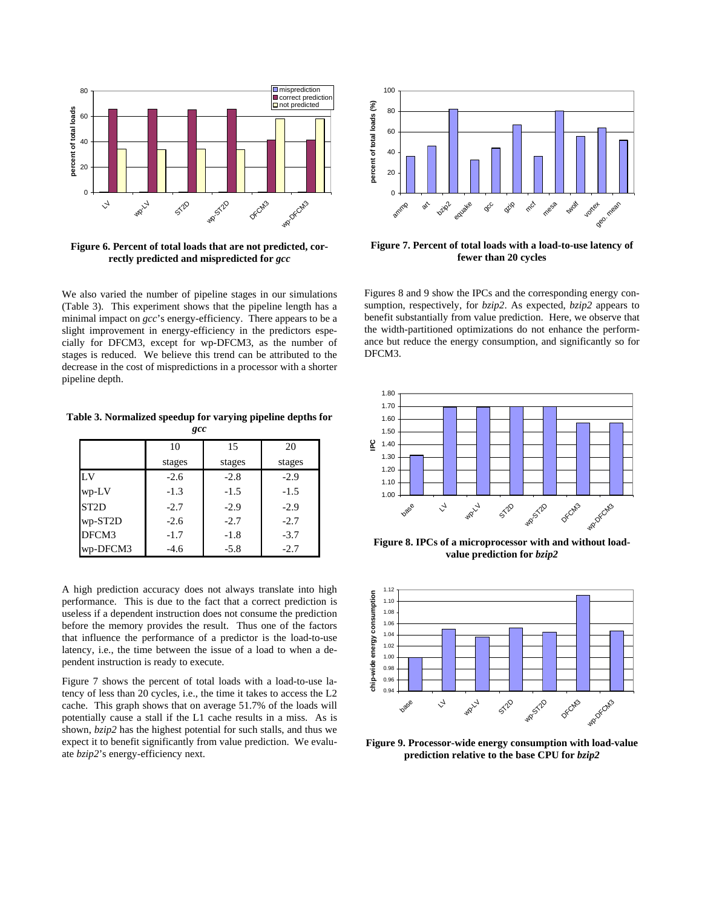

**Figure 6. Percent of total loads that are not predicted, correctly predicted and mispredicted for** *gcc*

We also varied the number of pipeline stages in our simulations (Table 3). This experiment shows that the pipeline length has a minimal impact on *gcc*'s energy-efficiency. There appears to be a slight improvement in energy-efficiency in the predictors especially for DFCM3, except for wp-DFCM3, as the number of stages is reduced. We believe this trend can be attributed to the decrease in the cost of mispredictions in a processor with a shorter pipeline depth.

**Table 3. Normalized speedup for varying pipeline depths for**  *gcc*

|                   | 10     | 15     | 20     |
|-------------------|--------|--------|--------|
|                   | stages | stages | stages |
| LV                | $-2.6$ | $-2.8$ | $-2.9$ |
| wp-LV             | $-1.3$ | $-1.5$ | $-1.5$ |
| ST <sub>2</sub> D | $-2.7$ | $-2.9$ | $-2.9$ |
| wp-ST2D           | $-2.6$ | $-2.7$ | $-2.7$ |
| DFCM3             | $-1.7$ | $-1.8$ | $-3.7$ |
| wp-DFCM3          | $-4.6$ | $-5.8$ | $-2.7$ |

A high prediction accuracy does not always translate into high performance. This is due to the fact that a correct prediction is useless if a dependent instruction does not consume the prediction before the memory provides the result. Thus one of the factors that influence the performance of a predictor is the load-to-use latency, i.e., the time between the issue of a load to when a dependent instruction is ready to execute.

Figure 7 shows the percent of total loads with a load-to-use latency of less than 20 cycles, i.e., the time it takes to access the L2 cache. This graph shows that on average 51.7% of the loads will potentially cause a stall if the L1 cache results in a miss. As is shown, *bzip2* has the highest potential for such stalls, and thus we expect it to benefit significantly from value prediction. We evaluate *bzip2*'s energy-efficiency next.



**Figure 7. Percent of total loads with a load-to-use latency of fewer than 20 cycles** 

Figures 8 and 9 show the IPCs and the corresponding energy consumption, respectively, for *bzip2*. As expected, *bzip2* appears to benefit substantially from value prediction. Here, we observe that the width-partitioned optimizations do not enhance the performance but reduce the energy consumption, and significantly so for DFCM3.



**Figure 8. IPCs of a microprocessor with and without loadvalue prediction for** *bzip2*



**Figure 9. Processor-wide energy consumption with load-value prediction relative to the base CPU for** *bzip2*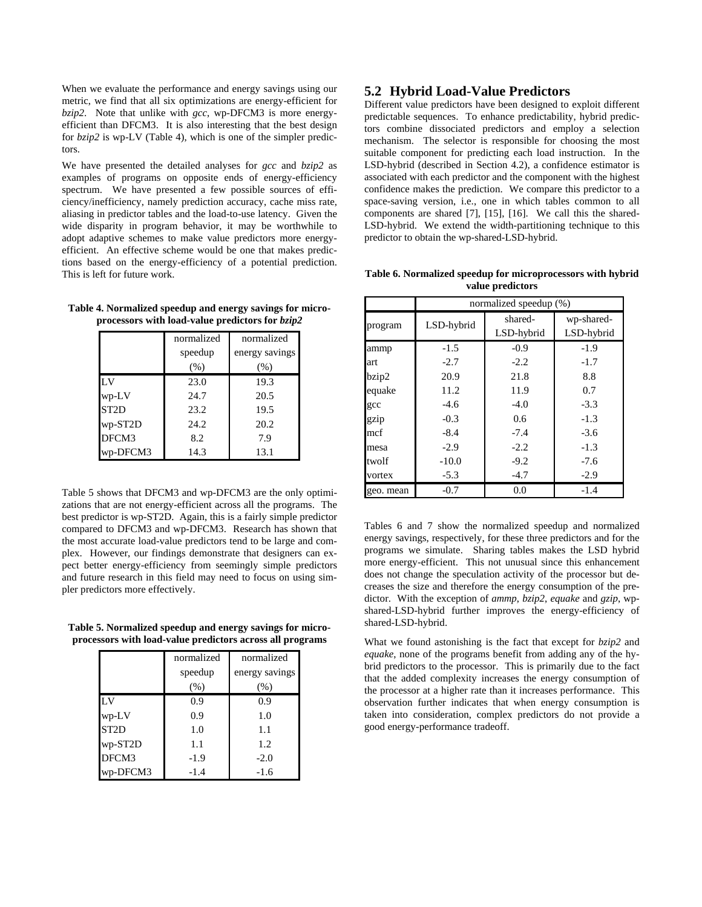When we evaluate the performance and energy savings using our metric, we find that all six optimizations are energy-efficient for *bzip2*. Note that unlike with *gcc*, wp-DFCM3 is more energyefficient than DFCM3. It is also interesting that the best design for *bzip2* is wp-LV (Table 4), which is one of the simpler predictors.

We have presented the detailed analyses for *gcc* and *bzip2* as examples of programs on opposite ends of energy-efficiency spectrum. We have presented a few possible sources of efficiency/inefficiency, namely prediction accuracy, cache miss rate, aliasing in predictor tables and the load-to-use latency. Given the wide disparity in program behavior, it may be worthwhile to adopt adaptive schemes to make value predictors more energyefficient. An effective scheme would be one that makes predictions based on the energy-efficiency of a potential prediction. This is left for future work.

**Table 4. Normalized speedup and energy savings for microprocessors with load-value predictors for** *bzip2*

|                   | normalized<br>speedup | normalized<br>energy savings |
|-------------------|-----------------------|------------------------------|
|                   | (% )                  | (%)                          |
| LV                | 23.0                  | 19.3                         |
| wp-LV             | 24.7                  | 20.5                         |
| ST <sub>2</sub> D | 23.2                  | 19.5                         |
| wp-ST2D           | 24.2                  | 20.2                         |
| DFCM3             | 8.2                   | 7.9                          |
| wp-DFCM3          | 14.3                  | 13.1                         |

Table 5 shows that DFCM3 and wp-DFCM3 are the only optimizations that are not energy-efficient across all the programs. The best predictor is wp-ST2D. Again, this is a fairly simple predictor compared to DFCM3 and wp-DFCM3. Research has shown that the most accurate load-value predictors tend to be large and complex. However, our findings demonstrate that designers can expect better energy-efficiency from seemingly simple predictors and future research in this field may need to focus on using simpler predictors more effectively.

**Table 5. Normalized speedup and energy savings for microprocessors with load-value predictors across all programs** 

|                   | normalized | normalized     |
|-------------------|------------|----------------|
|                   | speedup    | energy savings |
|                   | (% )       | (%)            |
| $L_{\rm V}$       | 0.9        | 0.9            |
| wp-LV             | 0.9        | 1.0            |
| ST <sub>2</sub> D | 1.0        | 1.1            |
| wp-ST2D           | 1.1        | 1.2            |
| DFCM3             | $-1.9$     | $-2.0$         |
| wp-DFCM3          | $-1.4$     | $-1.6$         |

### **5.2 Hybrid Load-Value Predictors**

Different value predictors have been designed to exploit different predictable sequences. To enhance predictability, hybrid predictors combine dissociated predictors and employ a selection mechanism. The selector is responsible for choosing the most suitable component for predicting each load instruction. In the LSD-hybrid (described in Section 4.2), a confidence estimator is associated with each predictor and the component with the highest confidence makes the prediction. We compare this predictor to a space-saving version, i.e., one in which tables common to all components are shared [7], [15], [16]. We call this the shared-LSD-hybrid. We extend the width-partitioning technique to this predictor to obtain the wp-shared-LSD-hybrid.

**Table 6. Normalized speedup for microprocessors with hybrid value predictors** 

|           | normalized speedup (%) |                       |                          |
|-----------|------------------------|-----------------------|--------------------------|
| program   | LSD-hybrid             | shared-<br>LSD-hybrid | wp-shared-<br>LSD-hybrid |
| ammp      | $-1.5$                 | $-0.9$                | $-1.9$                   |
| art       | $-2.7$                 | $-2.2$                | $-1.7$                   |
| bzip2     | 20.9                   | 21.8                  | 8.8                      |
| equake    | 11.2                   | 11.9                  | 0.7                      |
| gcc       | $-4.6$                 | $-4.0$                | $-3.3$                   |
| gzip      | $-0.3$                 | 0.6                   | $-1.3$                   |
| mcf       | $-8.4$                 | $-7.4$                | $-3.6$                   |
| mesa      | $-2.9$                 | $-2.2$                | $-1.3$                   |
| twolf     | $-10.0$                | $-9.2$                | $-7.6$                   |
| vortex    | $-5.3$                 | $-4.7$                | $-2.9$                   |
| geo. mean | $-0.7$                 | 0.0                   | $-1.4$                   |

Tables 6 and 7 show the normalized speedup and normalized energy savings, respectively, for these three predictors and for the programs we simulate. Sharing tables makes the LSD hybrid more energy-efficient. This not unusual since this enhancement does not change the speculation activity of the processor but decreases the size and therefore the energy consumption of the predictor. With the exception of *ammp*, *bzip2*, *equake* and *gzip*, wpshared-LSD-hybrid further improves the energy-efficiency of shared-LSD-hybrid.

What we found astonishing is the fact that except for *bzip2* and *equake*, none of the programs benefit from adding any of the hybrid predictors to the processor. This is primarily due to the fact that the added complexity increases the energy consumption of the processor at a higher rate than it increases performance. This observation further indicates that when energy consumption is taken into consideration, complex predictors do not provide a good energy-performance tradeoff.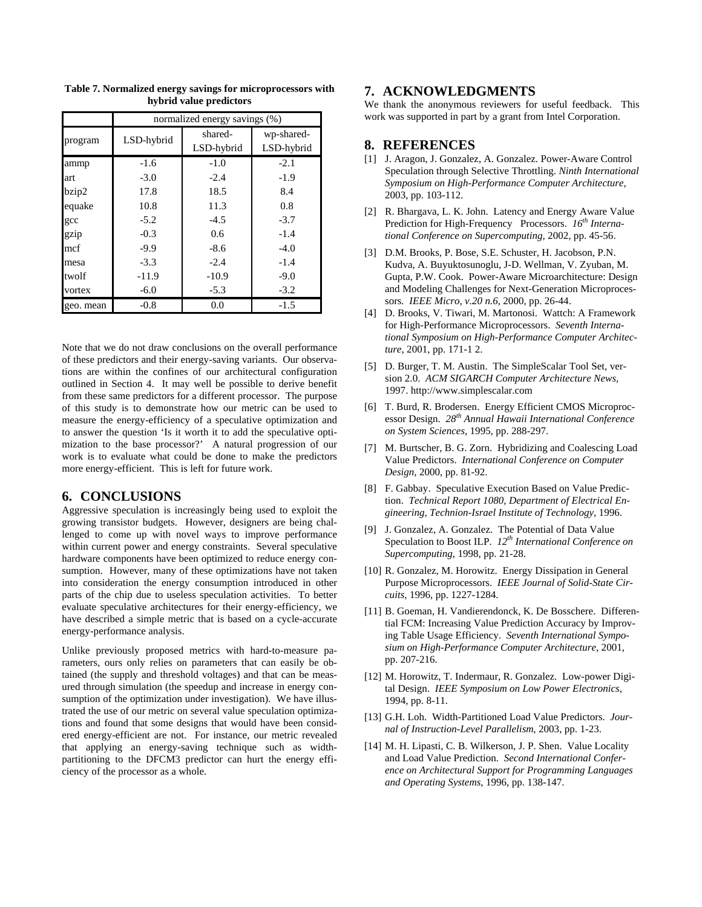|           | normalized energy savings (%) |                       |                          |
|-----------|-------------------------------|-----------------------|--------------------------|
| program   | LSD-hybrid                    | shared-<br>LSD-hybrid | wp-shared-<br>LSD-hybrid |
| ammp      | $-1.6$                        | $-1.0$                | $-2.1$                   |
| art       | $-3.0$                        | $-2.4$                | $-1.9$                   |
| bzip2     | 17.8                          | 18.5                  | 8.4                      |
| equake    | 10.8                          | 11.3                  | 0.8                      |
| gcc       | $-5.2$                        | $-4.5$                | $-3.7$                   |
| gzip      | $-0.3$                        | 0.6                   | $-1.4$                   |
| mcf       | $-9.9$                        | $-8.6$                | $-4.0$                   |
| mesa      | $-3.3$                        | $-2.4$                | $-1.4$                   |
| twolf     | $-11.9$                       | $-10.9$               | $-9.0$                   |
| vortex    | $-6.0$                        | $-5.3$                | $-3.2$                   |
| geo. mean | $-0.8$                        | 0.0                   | $-1.5$                   |

**Table 7. Normalized energy savings for microprocessors with hybrid value predictors** 

Note that we do not draw conclusions on the overall performance of these predictors and their energy-saving variants. Our observations are within the confines of our architectural configuration outlined in Section 4. It may well be possible to derive benefit from these same predictors for a different processor. The purpose of this study is to demonstrate how our metric can be used to measure the energy-efficiency of a speculative optimization and to answer the question 'Is it worth it to add the speculative optimization to the base processor?' A natural progression of our work is to evaluate what could be done to make the predictors more energy-efficient. This is left for future work.

## **6. CONCLUSIONS**

Aggressive speculation is increasingly being used to exploit the growing transistor budgets. However, designers are being challenged to come up with novel ways to improve performance within current power and energy constraints. Several speculative hardware components have been optimized to reduce energy consumption. However, many of these optimizations have not taken into consideration the energy consumption introduced in other parts of the chip due to useless speculation activities. To better evaluate speculative architectures for their energy-efficiency, we have described a simple metric that is based on a cycle-accurate energy-performance analysis.

Unlike previously proposed metrics with hard-to-measure parameters, ours only relies on parameters that can easily be obtained (the supply and threshold voltages) and that can be measured through simulation (the speedup and increase in energy consumption of the optimization under investigation). We have illustrated the use of our metric on several value speculation optimizations and found that some designs that would have been considered energy-efficient are not. For instance, our metric revealed that applying an energy-saving technique such as widthpartitioning to the DFCM3 predictor can hurt the energy efficiency of the processor as a whole.

#### **7. ACKNOWLEDGMENTS**

We thank the anonymous reviewers for useful feedback. This work was supported in part by a grant from Intel Corporation.

#### **8. REFERENCES**

- [1] J. Aragon, J. Gonzalez, A. Gonzalez. Power-Aware Control Speculation through Selective Throttling. *Ninth International Symposium on High-Performance Computer Architecture*, 2003, pp. 103-112.
- [2] R. Bhargava, L. K. John. Latency and Energy Aware Value Prediction for High-Frequency Processors. 16<sup>th</sup> Interna*tional Conference on Supercomputing,* 2002, pp. 45-56.
- [3] D.M. Brooks, P. Bose, S.E. Schuster, H. Jacobson, P.N. Kudva, A. Buyuktosunoglu, J-D. Wellman, V. Zyuban, M. Gupta, P.W. Cook. Power-Aware Microarchitecture: Design and Modeling Challenges for Next-Generation Microprocessors*. IEEE Micro, v.20 n.6*, 2000, pp. 26-44.
- [4] D. Brooks, V. Tiwari, M. Martonosi. Wattch: A Framework for High-Performance Microprocessors. *Seventh International Symposium on High-Performance Computer Architecture*, 2001, pp. 171-1 2.
- [5] D. Burger, T. M. Austin. The SimpleScalar Tool Set, version 2.0. *ACM SIGARCH Computer Architecture News,* 1997. http://www.simplescalar.com
- [6] T. Burd, R. Brodersen. Energy Efficient CMOS Microprocessor Design. *28th Annual Hawaii International Conference on System Sciences*, 1995, pp. 288-297.
- [7] M. Burtscher, B. G. Zorn. Hybridizing and Coalescing Load Value Predictors. *International Conference on Computer Design*, 2000, pp. 81-92.
- [8] F. Gabbay. Speculative Execution Based on Value Prediction. *Technical Report 1080, Department of Electrical Engineering, Technion-Israel Institute of Technology*, 1996.
- [9] J. Gonzalez, A. Gonzalez. The Potential of Data Value Speculation to Boost ILP.  $12^{th}$  International Conference on *Supercomputing*, 1998, pp. 21-28.
- [10] R. Gonzalez, M. Horowitz. Energy Dissipation in General Purpose Microprocessors. *IEEE Journal of Solid-State Circuits,* 1996, pp. 1227-1284.
- [11] B. Goeman, H. Vandierendonck, K. De Bosschere. Differential FCM: Increasing Value Prediction Accuracy by Improving Table Usage Efficiency. *Seventh International Symposium on High-Performance Computer Architecture*, 2001, pp. 207-216.
- [12] M. Horowitz, T. Indermaur, R. Gonzalez. Low-power Digital Design. *IEEE Symposium on Low Power Electronics*, 1994, pp. 8-11.
- [13] G.H. Loh. Width-Partitioned Load Value Predictors. *Journal of Instruction-Level Parallelism*, 2003, pp. 1-23.
- [14] M. H. Lipasti, C. B. Wilkerson, J. P. Shen. Value Locality and Load Value Prediction. *Second International Conference on Architectural Support for Programming Languages and Operating Systems*, 1996, pp. 138-147.